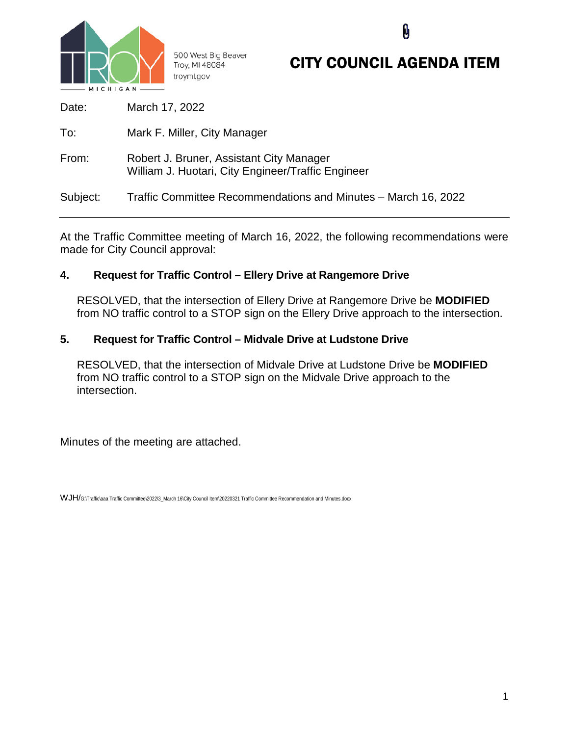

500 West Big Beaver Troy, MI 48084 troymi.gov

# CITY COUNCIL AGENDA ITEM

| Date:    | March 17, 2022                                                                                 |
|----------|------------------------------------------------------------------------------------------------|
| To:      | Mark F. Miller, City Manager                                                                   |
| From:    | Robert J. Bruner, Assistant City Manager<br>William J. Huotari, City Engineer/Traffic Engineer |
| Subject: | Traffic Committee Recommendations and Minutes – March 16, 2022                                 |

At the Traffic Committee meeting of March 16, 2022, the following recommendations were made for City Council approval:

# **4. Request for Traffic Control – Ellery Drive at Rangemore Drive**

RESOLVED, that the intersection of Ellery Drive at Rangemore Drive be **MODIFIED** from NO traffic control to a STOP sign on the Ellery Drive approach to the intersection.

# **5. Request for Traffic Control – Midvale Drive at Ludstone Drive**

RESOLVED, that the intersection of Midvale Drive at Ludstone Drive be **MODIFIED** from NO traffic control to a STOP sign on the Midvale Drive approach to the intersection.

Minutes of the meeting are attached.

WJH/G:\Traffic\aaa Traffic Committee\2022\3\_March 16\City Council Item\20220321 Traffic Committee Recommendation and Minutes.docx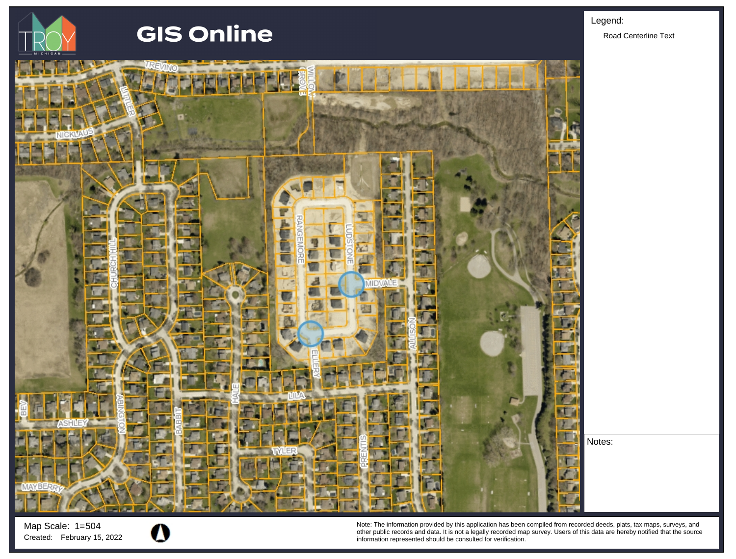

# **GIS Online**



Map Scale: 1=504



Note: The information provided by this application has been compiled from recorded deeds, plats, tax maps, surveys, and other public records and data. It is not a legally recorded map survey. Users of this data are hereby notified that the source Created: February 15, 2022 **information represented should be consulted for verification**.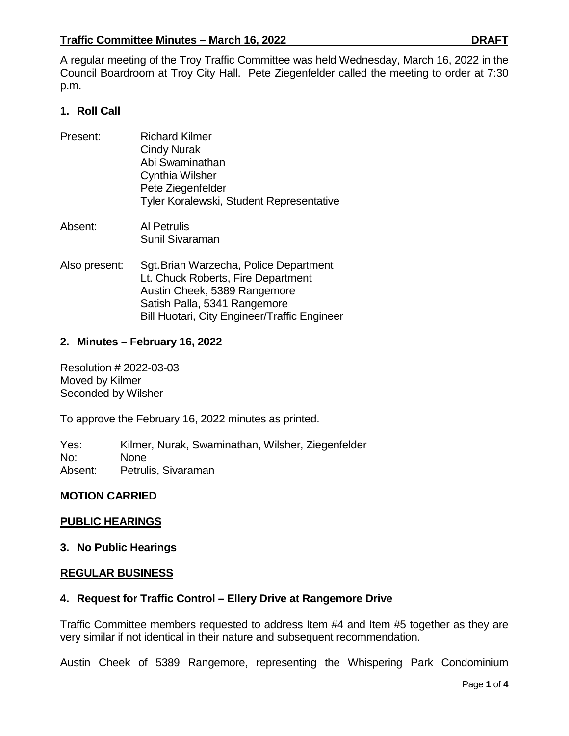A regular meeting of the Troy Traffic Committee was held Wednesday, March 16, 2022 in the Council Boardroom at Troy City Hall. Pete Ziegenfelder called the meeting to order at 7:30 p.m.

# **1. Roll Call**

- Present: Richard Kilmer Cindy Nurak Abi Swaminathan Cynthia Wilsher Pete Ziegenfelder Tyler Koralewski, Student Representative
- Absent: Al Petrulis Sunil Sivaraman
- Also present: Sgt.Brian Warzecha, Police Department Lt. Chuck Roberts, Fire Department Austin Cheek, 5389 Rangemore Satish Palla, 5341 Rangemore Bill Huotari, City Engineer/Traffic Engineer

# **2. Minutes – February 16, 2022**

Resolution # 2022-03-03 Moved by Kilmer Seconded by Wilsher

To approve the February 16, 2022 minutes as printed.

Yes: Kilmer, Nurak, Swaminathan, Wilsher, Ziegenfelder No: None Absent: Petrulis, Sivaraman

#### **MOTION CARRIED**

#### **PUBLIC HEARINGS**

#### **3. No Public Hearings**

#### **REGULAR BUSINESS**

#### **4. Request for Traffic Control – Ellery Drive at Rangemore Drive**

Traffic Committee members requested to address Item #4 and Item #5 together as they are very similar if not identical in their nature and subsequent recommendation.

Austin Cheek of 5389 Rangemore, representing the Whispering Park Condominium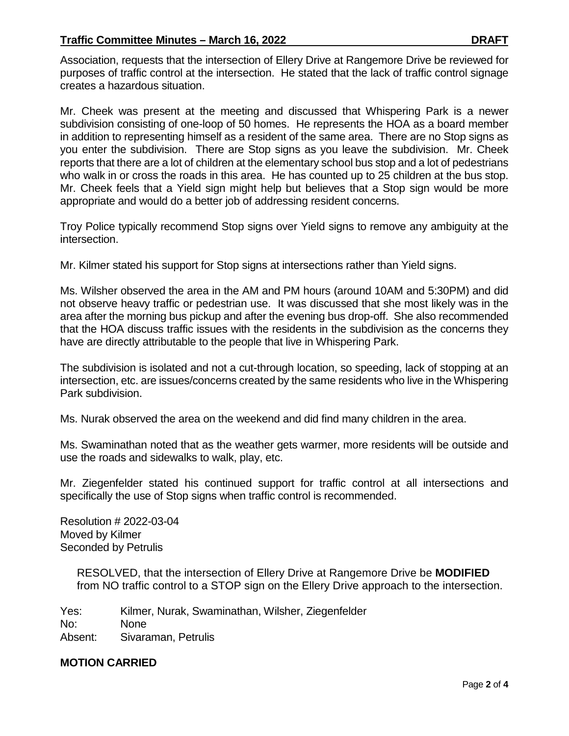#### **Traffic Committee Minutes – March 16, 2022 DRAFT**

Association, requests that the intersection of Ellery Drive at Rangemore Drive be reviewed for purposes of traffic control at the intersection. He stated that the lack of traffic control signage creates a hazardous situation.

Mr. Cheek was present at the meeting and discussed that Whispering Park is a newer subdivision consisting of one-loop of 50 homes. He represents the HOA as a board member in addition to representing himself as a resident of the same area. There are no Stop signs as you enter the subdivision. There are Stop signs as you leave the subdivision. Mr. Cheek reports that there are a lot of children at the elementary school bus stop and a lot of pedestrians who walk in or cross the roads in this area. He has counted up to 25 children at the bus stop. Mr. Cheek feels that a Yield sign might help but believes that a Stop sign would be more appropriate and would do a better job of addressing resident concerns.

Troy Police typically recommend Stop signs over Yield signs to remove any ambiguity at the intersection.

Mr. Kilmer stated his support for Stop signs at intersections rather than Yield signs.

Ms. Wilsher observed the area in the AM and PM hours (around 10AM and 5:30PM) and did not observe heavy traffic or pedestrian use. It was discussed that she most likely was in the area after the morning bus pickup and after the evening bus drop-off. She also recommended that the HOA discuss traffic issues with the residents in the subdivision as the concerns they have are directly attributable to the people that live in Whispering Park.

The subdivision is isolated and not a cut-through location, so speeding, lack of stopping at an intersection, etc. are issues/concerns created by the same residents who live in the Whispering Park subdivision.

Ms. Nurak observed the area on the weekend and did find many children in the area.

Ms. Swaminathan noted that as the weather gets warmer, more residents will be outside and use the roads and sidewalks to walk, play, etc.

Mr. Ziegenfelder stated his continued support for traffic control at all intersections and specifically the use of Stop signs when traffic control is recommended.

Resolution # 2022-03-04 Moved by Kilmer Seconded by Petrulis

> RESOLVED, that the intersection of Ellery Drive at Rangemore Drive be **MODIFIED** from NO traffic control to a STOP sign on the Ellery Drive approach to the intersection.

Yes: Kilmer, Nurak, Swaminathan, Wilsher, Ziegenfelder No: None Absent: Sivaraman, Petrulis

**MOTION CARRIED**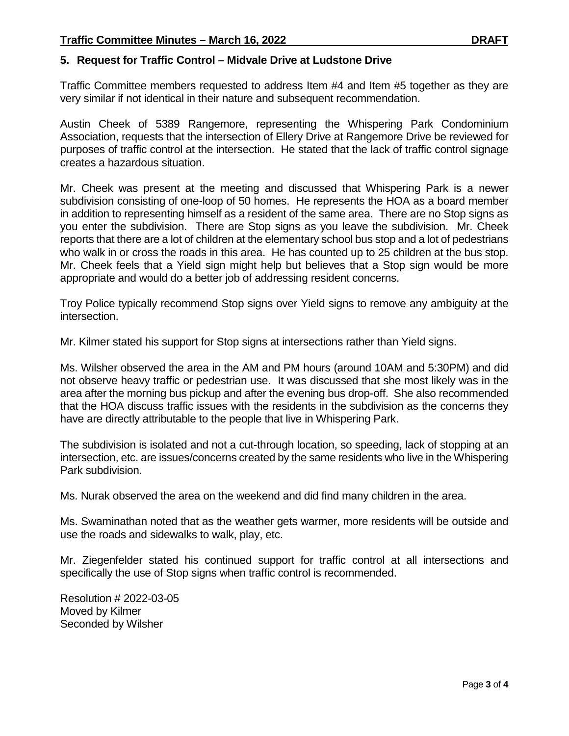#### **5. Request for Traffic Control – Midvale Drive at Ludstone Drive**

Traffic Committee members requested to address Item #4 and Item #5 together as they are very similar if not identical in their nature and subsequent recommendation.

Austin Cheek of 5389 Rangemore, representing the Whispering Park Condominium Association, requests that the intersection of Ellery Drive at Rangemore Drive be reviewed for purposes of traffic control at the intersection. He stated that the lack of traffic control signage creates a hazardous situation.

Mr. Cheek was present at the meeting and discussed that Whispering Park is a newer subdivision consisting of one-loop of 50 homes. He represents the HOA as a board member in addition to representing himself as a resident of the same area. There are no Stop signs as you enter the subdivision. There are Stop signs as you leave the subdivision. Mr. Cheek reports that there are a lot of children at the elementary school bus stop and a lot of pedestrians who walk in or cross the roads in this area. He has counted up to 25 children at the bus stop. Mr. Cheek feels that a Yield sign might help but believes that a Stop sign would be more appropriate and would do a better job of addressing resident concerns.

Troy Police typically recommend Stop signs over Yield signs to remove any ambiguity at the intersection.

Mr. Kilmer stated his support for Stop signs at intersections rather than Yield signs.

Ms. Wilsher observed the area in the AM and PM hours (around 10AM and 5:30PM) and did not observe heavy traffic or pedestrian use. It was discussed that she most likely was in the area after the morning bus pickup and after the evening bus drop-off. She also recommended that the HOA discuss traffic issues with the residents in the subdivision as the concerns they have are directly attributable to the people that live in Whispering Park.

The subdivision is isolated and not a cut-through location, so speeding, lack of stopping at an intersection, etc. are issues/concerns created by the same residents who live in the Whispering Park subdivision.

Ms. Nurak observed the area on the weekend and did find many children in the area.

Ms. Swaminathan noted that as the weather gets warmer, more residents will be outside and use the roads and sidewalks to walk, play, etc.

Mr. Ziegenfelder stated his continued support for traffic control at all intersections and specifically the use of Stop signs when traffic control is recommended.

Resolution # 2022-03-05 Moved by Kilmer Seconded by Wilsher